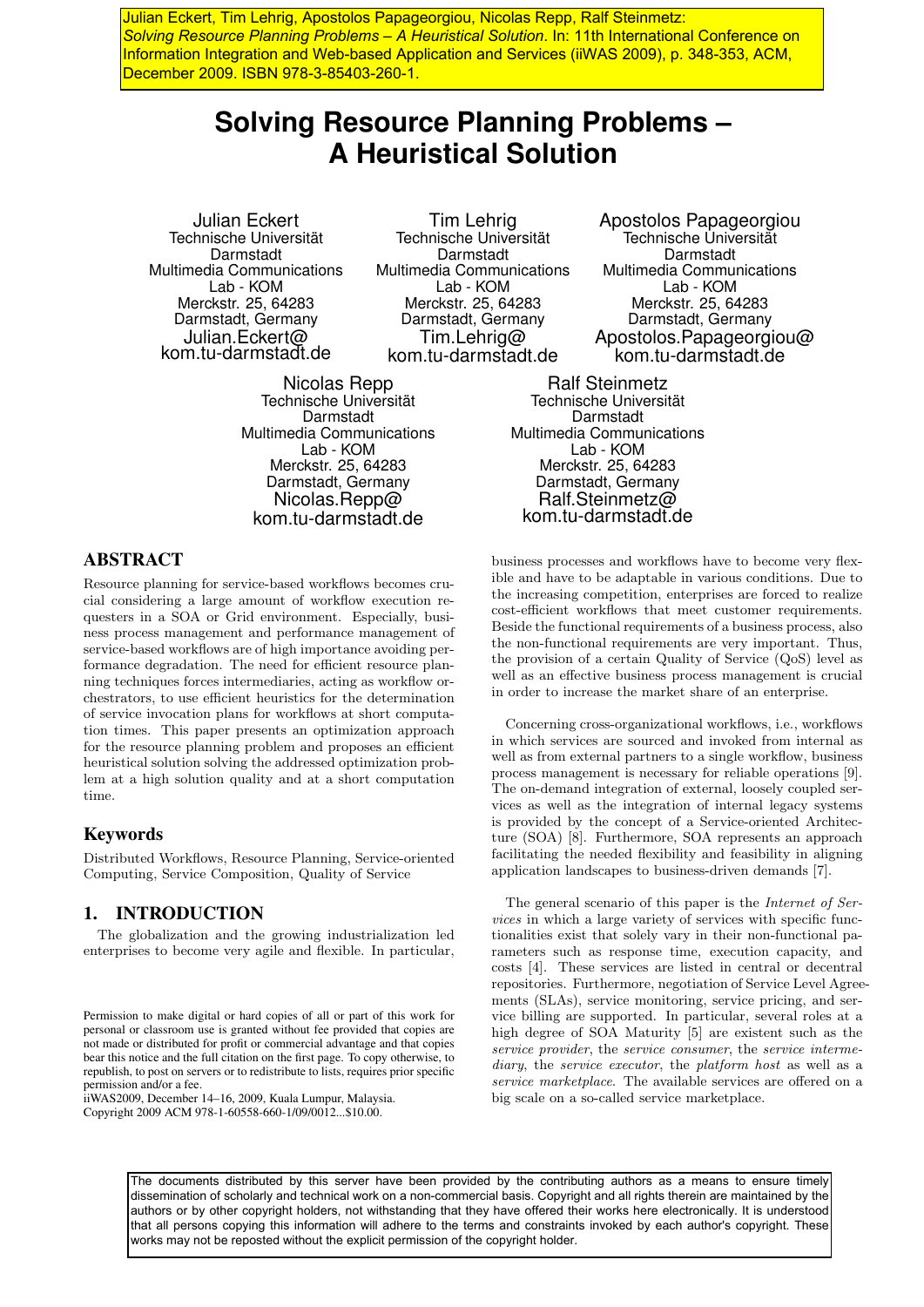Julian Eckert, Tim Lehrig, Apostolos Papageorgiou, Nicolas Repp, Ralf Steinmetz: *Solving Resource Planning Problems – A Heuristical Solution*. In: 11th International Conference on Information Integration and Web-based Application and Services (iiWAS 2009), p. 348-353, ACM, December 2009. ISBN 978-3-85403-260-1.

# **Solving Resource Planning Problems – A Heuristical Solution**

Julian Eckert Technische Universität Darmstadt Multimedia Communications Lab - KOM Merckstr. 25, 64283 Darmstadt, Germany Julian.Eckert@ kom.tu-darmstadt.de

Tim Lehrig Technische Universität Darmstadt Multimedia Communications Lab - KOM Merckstr. 25, 64283 Darmstadt, Germany Tim.Lehrig@ kom.tu-darmstadt.de

Nicolas Repp Technische Universität Darmstadt Multimedia Communications Lab - KOM Merckstr. 25, 64283 Darmstadt, Germany Nicolas.Repp@ kom.tu-darmstadt.de

Apostolos Papageorgiou Technische Universität **Darmstadt** Multimedia Communications Lab - KOM Merckstr. 25, 64283 Darmstadt, Germany Apostolos.Papageorgiou@ kom.tu-darmstadt.de

Ralf Steinmetz Technische Universität Darmstadt Multimedia Communications Lab - KOM Merckstr. 25, 64283 Darmstadt, Germany Ralf.Steinmetz@ kom.tu-darmstadt.de

# ABSTRACT

Resource planning for service-based workflows becomes crucial considering a large amount of workflow execution requesters in a SOA or Grid environment. Especially, business process management and performance management of service-based workflows are of high importance avoiding performance degradation. The need for efficient resource planning techniques forces intermediaries, acting as workflow orchestrators, to use efficient heuristics for the determination of service invocation plans for workflows at short computation times. This paper presents an optimization approach for the resource planning problem and proposes an efficient heuristical solution solving the addressed optimization problem at a high solution quality and at a short computation time.

# Keywords

Distributed Workflows, Resource Planning, Service-oriented Computing, Service Composition, Quality of Service

# 1. INTRODUCTION

The globalization and the growing industrialization led enterprises to become very agile and flexible. In particular,

iiWAS2009, December 14–16, 2009, Kuala Lumpur, Malaysia. Copyright 2009 ACM 978-1-60558-660-1/09/0012...\$10.00.

business processes and workflows have to become very flexible and have to be adaptable in various conditions. Due to the increasing competition, enterprises are forced to realize cost-efficient workflows that meet customer requirements. Beside the functional requirements of a business process, also the non-functional requirements are very important. Thus, the provision of a certain Quality of Service (QoS) level as well as an effective business process management is crucial in order to increase the market share of an enterprise.

Concerning cross-organizational workflows, i.e., workflows in which services are sourced and invoked from internal as well as from external partners to a single workflow, business process management is necessary for reliable operations [9]. The on-demand integration of external, loosely coupled services as well as the integration of internal legacy systems is provided by the concept of a Service-oriented Architecture (SOA) [8]. Furthermore, SOA represents an approach facilitating the needed flexibility and feasibility in aligning application landscapes to business-driven demands [7].

The general scenario of this paper is the Internet of Services in which a large variety of services with specific functionalities exist that solely vary in their non-functional parameters such as response time, execution capacity, and costs [4]. These services are listed in central or decentral repositories. Furthermore, negotiation of Service Level Agreements (SLAs), service monitoring, service pricing, and service billing are supported. In particular, several roles at a high degree of SOA Maturity [5] are existent such as the service provider, the service consumer, the service intermediary, the *service* executor, the *platform* host as well as a service marketplace. The available services are offered on a big scale on a so-called service marketplace.

The documents distributed by this server have been provided by the contributing authors as a means to ensure timely dissemination of scholarly and technical work on a non-commercial basis. Copyright and all rights therein are maintained by the authors or by other copyright holders, not withstanding that they have offered their works here electronically. It is understood that all persons copying this information will adhere to the terms and constraints invoked by each author's copyright. These works may not be reposted without the explicit permission of the copyright holder.

Permission to make digital or hard copies of all or part of this work for personal or classroom use is granted without fee provided that copies are not made or distributed for profit or commercial advantage and that copies bear this notice and the full citation on the first page. To copy otherwise, to republish, to post on servers or to redistribute to lists, requires prior specific permission and/or a fee.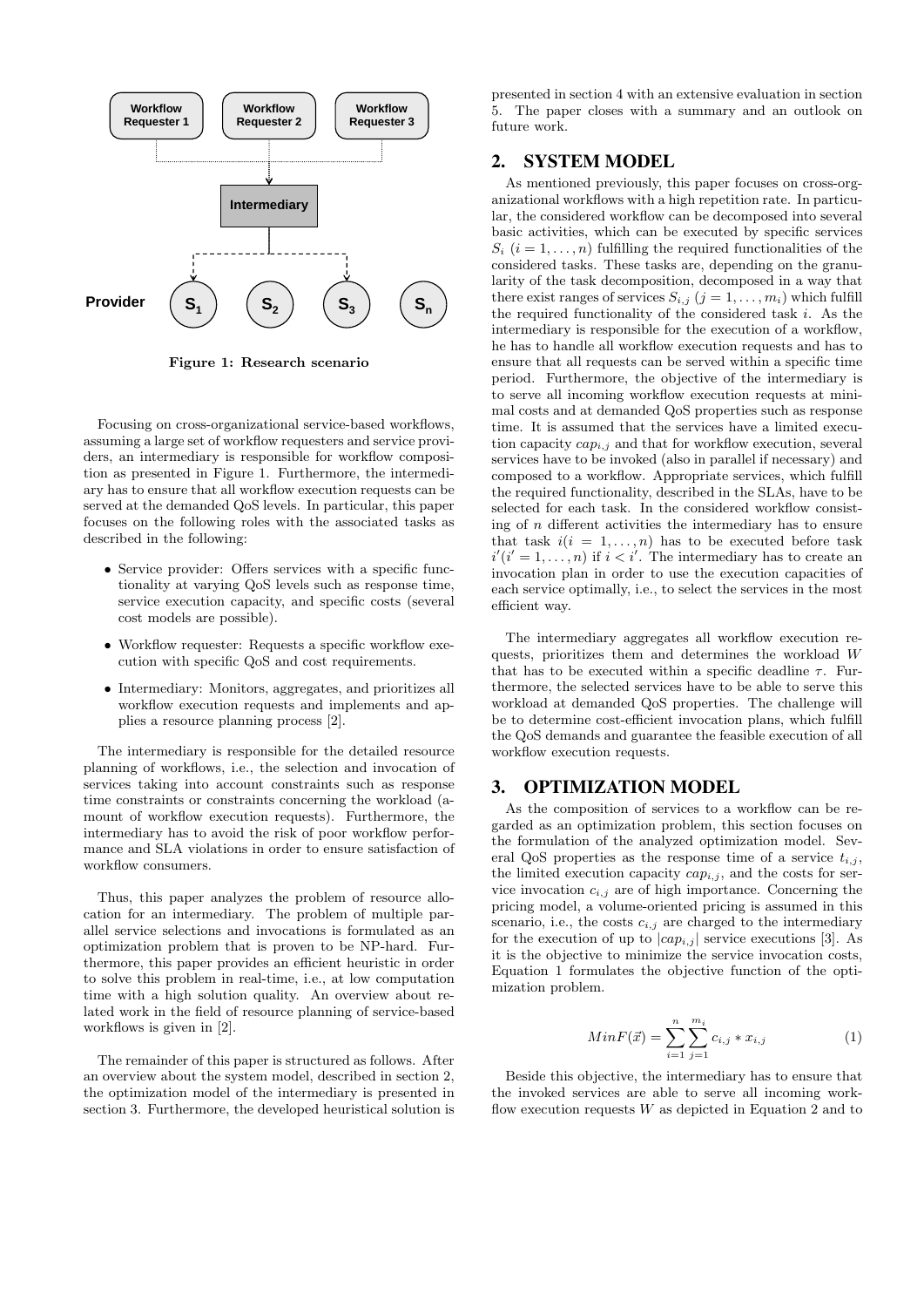

Figure 1: Research scenario

Focusing on cross-organizational service-based workflows, assuming a large set of workflow requesters and service providers, an intermediary is responsible for workflow composition as presented in Figure 1. Furthermore, the intermediary has to ensure that all workflow execution requests can be served at the demanded QoS levels. In particular, this paper focuses on the following roles with the associated tasks as described in the following:

- Service provider: Offers services with a specific functionality at varying QoS levels such as response time, service execution capacity, and specific costs (several cost models are possible).
- Workflow requester: Requests a specific workflow execution with specific QoS and cost requirements.
- Intermediary: Monitors, aggregates, and prioritizes all workflow execution requests and implements and applies a resource planning process [2].

The intermediary is responsible for the detailed resource planning of workflows, i.e., the selection and invocation of services taking into account constraints such as response time constraints or constraints concerning the workload (amount of workflow execution requests). Furthermore, the intermediary has to avoid the risk of poor workflow performance and SLA violations in order to ensure satisfaction of workflow consumers.

Thus, this paper analyzes the problem of resource allocation for an intermediary. The problem of multiple parallel service selections and invocations is formulated as an optimization problem that is proven to be NP-hard. Furthermore, this paper provides an efficient heuristic in order to solve this problem in real-time, i.e., at low computation time with a high solution quality. An overview about related work in the field of resource planning of service-based workflows is given in [2].

The remainder of this paper is structured as follows. After an overview about the system model, described in section 2, the optimization model of the intermediary is presented in section 3. Furthermore, the developed heuristical solution is

presented in section 4 with an extensive evaluation in section 5. The paper closes with a summary and an outlook on future work.

# 2. SYSTEM MODEL

As mentioned previously, this paper focuses on cross-organizational workflows with a high repetition rate. In particular, the considered workflow can be decomposed into several basic activities, which can be executed by specific services  $S_i$   $(i = 1, \ldots, n)$  fulfilling the required functionalities of the considered tasks. These tasks are, depending on the granularity of the task decomposition, decomposed in a way that there exist ranges of services  $S_{i,j}$   $(j = 1, \ldots, m_i)$  which fulfill the required functionality of the considered task  $i$ . As the intermediary is responsible for the execution of a workflow, he has to handle all workflow execution requests and has to ensure that all requests can be served within a specific time period. Furthermore, the objective of the intermediary is to serve all incoming workflow execution requests at minimal costs and at demanded QoS properties such as response time. It is assumed that the services have a limited execution capacity  $cap_{i,j}$  and that for workflow execution, several services have to be invoked (also in parallel if necessary) and composed to a workflow. Appropriate services, which fulfill the required functionality, described in the SLAs, have to be selected for each task. In the considered workflow consisting of  $n$  different activities the intermediary has to ensure that task  $i(i = 1, ..., n)$  has to be executed before task  $i'(i'=1,\ldots,n)$  if  $i < i'$ . The intermediary has to create an invocation plan in order to use the execution capacities of each service optimally, i.e., to select the services in the most efficient way.

The intermediary aggregates all workflow execution requests, prioritizes them and determines the workload  $W$ that has to be executed within a specific deadline  $\tau$ . Furthermore, the selected services have to be able to serve this workload at demanded QoS properties. The challenge will be to determine cost-efficient invocation plans, which fulfill the QoS demands and guarantee the feasible execution of all workflow execution requests.

## 3. OPTIMIZATION MODEL

As the composition of services to a workflow can be regarded as an optimization problem, this section focuses on the formulation of the analyzed optimization model. Several QoS properties as the response time of a service  $t_{i,j}$ , the limited execution capacity  $cap_{i,j}$ , and the costs for service invocation  $c_{i,j}$  are of high importance. Concerning the pricing model, a volume-oriented pricing is assumed in this scenario, i.e., the costs  $c_{i,j}$  are charged to the intermediary for the execution of up to  $|cap_{i,j}|$  service executions [3]. As it is the objective to minimize the service invocation costs, Equation 1 formulates the objective function of the optimization problem.

$$
MinF(\vec{x}) = \sum_{i=1}^{n} \sum_{j=1}^{m_i} c_{i,j} * x_{i,j}
$$
 (1)

Beside this objective, the intermediary has to ensure that the invoked services are able to serve all incoming workflow execution requests  $W$  as depicted in Equation 2 and to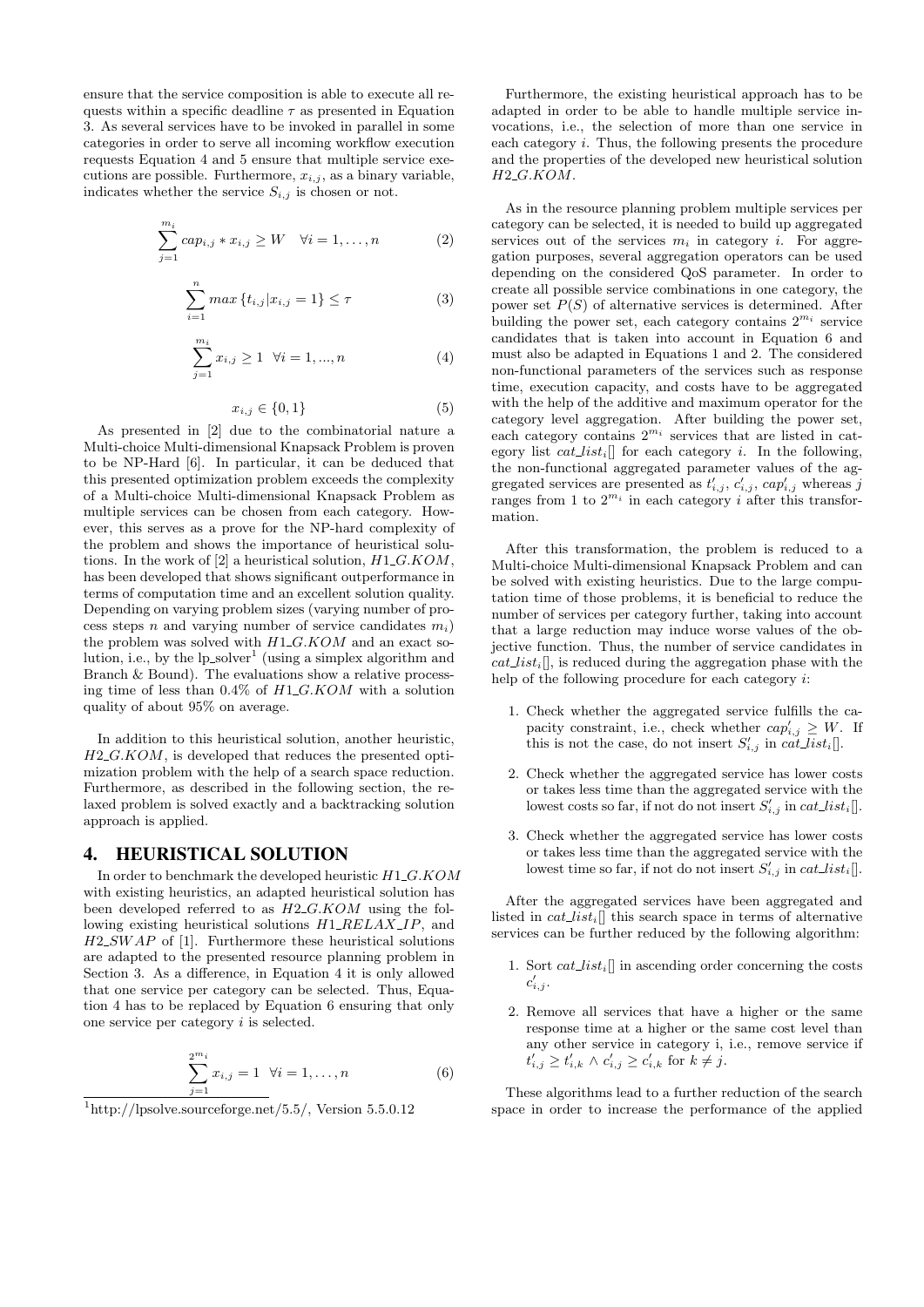ensure that the service composition is able to execute all requests within a specific deadline  $\tau$  as presented in Equation 3. As several services have to be invoked in parallel in some categories in order to serve all incoming workflow execution requests Equation 4 and 5 ensure that multiple service executions are possible. Furthermore,  $x_{i,j}$ , as a binary variable, indicates whether the service  $S_{i,j}$  is chosen or not.

$$
\sum_{j=1}^{m_i} cap_{i,j} * x_{i,j} \ge W \quad \forall i = 1, \dots, n \tag{2}
$$

$$
\sum_{i=1}^{n} \max \{ t_{i,j} | x_{i,j} = 1 \} \le \tau
$$
 (3)

$$
\sum_{j=1}^{m_i} x_{i,j} \ge 1 \quad \forall i = 1, ..., n \tag{4}
$$

$$
x_{i,j} \in \{0,1\} \tag{5}
$$

As presented in [2] due to the combinatorial nature a Multi-choice Multi-dimensional Knapsack Problem is proven to be NP-Hard [6]. In particular, it can be deduced that this presented optimization problem exceeds the complexity of a Multi-choice Multi-dimensional Knapsack Problem as multiple services can be chosen from each category. However, this serves as a prove for the NP-hard complexity of the problem and shows the importance of heuristical solutions. In the work of [2] a heuristical solution,  $H1\_G.KOM$ , has been developed that shows significant outperformance in terms of computation time and an excellent solution quality. Depending on varying problem sizes (varying number of process steps n and varying number of service candidates  $m_i$ ) the problem was solved with  $H1\_G.KOM$  and an exact solution, i.e., by the  $lp\_solver^1$  (using a simplex algorithm and Branch & Bound). The evaluations show a relative processing time of less than  $0.4\%$  of  $H1\_G.KOM$  with a solution quality of about 95% on average.

In addition to this heuristical solution, another heuristic,  $H2\_G.KOM$ , is developed that reduces the presented optimization problem with the help of a search space reduction. Furthermore, as described in the following section, the relaxed problem is solved exactly and a backtracking solution approach is applied.

### 4. HEURISTICAL SOLUTION

In order to benchmark the developed heuristic  $H1\_G.KOM$ with existing heuristics, an adapted heuristical solution has been developed referred to as  $H2\_G.KOM$  using the following existing heuristical solutions  $H1$ <sub>-RELAX</sub> IP, and  $H2$ <sub>SW</sub> $AP$  of [1]. Furthermore these heuristical solutions are adapted to the presented resource planning problem in Section 3. As a difference, in Equation 4 it is only allowed that one service per category can be selected. Thus, Equation 4 has to be replaced by Equation 6 ensuring that only one service per category i is selected.

$$
\sum_{j=1}^{2^{m_i}} x_{i,j} = 1 \ \forall i = 1, \dots, n
$$
 (6)

Furthermore, the existing heuristical approach has to be adapted in order to be able to handle multiple service invocations, i.e., the selection of more than one service in each category  $i$ . Thus, the following presents the procedure and the properties of the developed new heuristical solution  $H2_G.KOM.$ 

As in the resource planning problem multiple services per category can be selected, it is needed to build up aggregated services out of the services  $m_i$  in category *i*. For aggregation purposes, several aggregation operators can be used depending on the considered QoS parameter. In order to create all possible service combinations in one category, the power set  $P(S)$  of alternative services is determined. After building the power set, each category contains  $2^{m_i}$  service candidates that is taken into account in Equation 6 and must also be adapted in Equations 1 and 2. The considered non-functional parameters of the services such as response time, execution capacity, and costs have to be aggregated with the help of the additive and maximum operator for the category level aggregation. After building the power set, each category contains  $2^{m_i}$  services that are listed in category list  $cat\_list_i$  for each category *i*. In the following, the non-functional aggregated parameter values of the aggregated services are presented as  $t'_{i,j}$ ,  $c'_{i,j}$ ,  $cap'_{i,j}$  whereas j ranges from 1 to  $2^{m_i}$  in each category *i* after this transformation.

After this transformation, the problem is reduced to a Multi-choice Multi-dimensional Knapsack Problem and can be solved with existing heuristics. Due to the large computation time of those problems, it is beneficial to reduce the number of services per category further, taking into account that a large reduction may induce worse values of the objective function. Thus, the number of service candidates in  $cat\_list_i$ , is reduced during the aggregation phase with the help of the following procedure for each category i:

- 1. Check whether the aggregated service fulfills the capacity constraint, i.e., check whether  $cap'_{i,j} \geq W$ . If this is not the case, do not insert  $S'_{i,j}$  in  $cat\_list_i$ .
- 2. Check whether the aggregated service has lower costs or takes less time than the aggregated service with the lowest costs so far, if not do not insert  $S'_{i,j}$  in  $cat\_list_i$
- 3. Check whether the aggregated service has lower costs or takes less time than the aggregated service with the lowest time so far, if not do not insert  $S'_{i,j}$  in  $cat\_list_i$ .

After the aggregated services have been aggregated and listed in  $cat\_list_i$ ] this search space in terms of alternative services can be further reduced by the following algorithm:

- 1. Sort  $cat\_list_i$  in ascending order concerning the costs  $c'_{i,j}$ .
- 2. Remove all services that have a higher or the same response time at a higher or the same cost level than any other service in category i, i.e., remove service if  $t'_{i,j} \geq t'_{i,k} \wedge c'_{i,j} \geq c'_{i,k}$  for  $k \neq j$ .

These algorithms lead to a further reduction of the search space in order to increase the performance of the applied

 $1$ http://lpsolve.sourceforge.net/5.5/, Version 5.5.0.12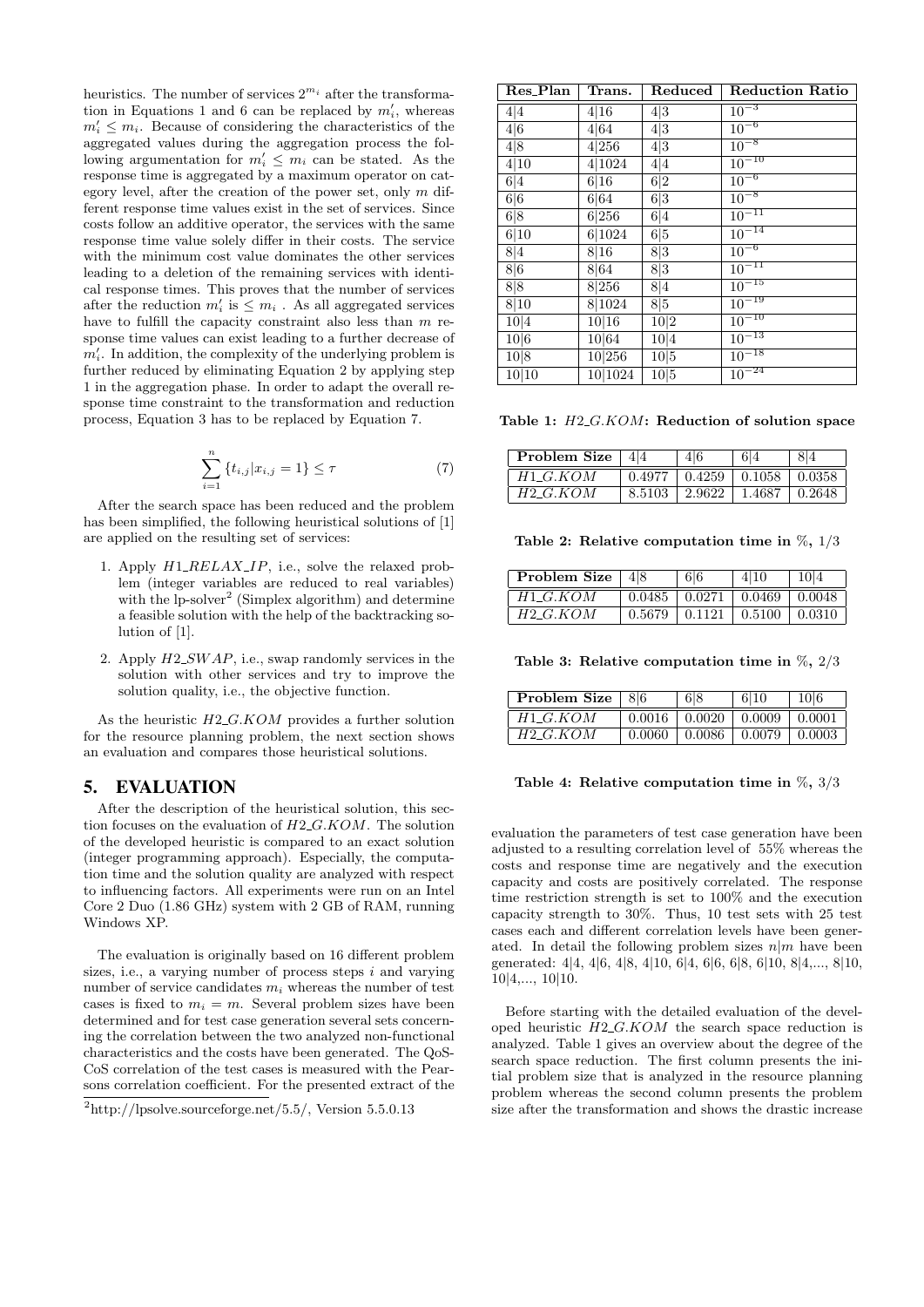heuristics. The number of services  $2^{m_i}$  after the transformation in Equations 1 and 6 can be replaced by  $m'_i$ , whereas  $m'_i \leq m_i$ . Because of considering the characteristics of the aggregated values during the aggregation process the following argumentation for  $m'_i \leq m_i$  can be stated. As the response time is aggregated by a maximum operator on category level, after the creation of the power set, only  $m$  different response time values exist in the set of services. Since costs follow an additive operator, the services with the same response time value solely differ in their costs. The service with the minimum cost value dominates the other services leading to a deletion of the remaining services with identical response times. This proves that the number of services after the reduction  $m'_i$  is  $\leq m_i$ . As all aggregated services have to fulfill the capacity constraint also less than  $m$  response time values can exist leading to a further decrease of  $m'_i$ . In addition, the complexity of the underlying problem is further reduced by eliminating Equation 2 by applying step 1 in the aggregation phase. In order to adapt the overall response time constraint to the transformation and reduction process, Equation 3 has to be replaced by Equation 7.

$$
\sum_{i=1}^{n} \{t_{i,j} | x_{i,j} = 1\} \le \tau
$$
\n(7)

After the search space has been reduced and the problem has been simplified, the following heuristical solutions of [1] are applied on the resulting set of services:

- 1. Apply  $H1$ <sub>-RELAX-IP</sub>, i.e., solve the relaxed problem (integer variables are reduced to real variables) with the  $lp\text{-}solver^2$  (Simplex algorithm) and determine a feasible solution with the help of the backtracking solution of [1].
- 2. Apply  $H2$ -SWAP, i.e., swap randomly services in the solution with other services and try to improve the solution quality, i.e., the objective function.

As the heuristic  $H2_G.KOM$  provides a further solution for the resource planning problem, the next section shows an evaluation and compares those heuristical solutions.

# 5. EVALUATION

After the description of the heuristical solution, this section focuses on the evaluation of H2 G.KOM. The solution of the developed heuristic is compared to an exact solution (integer programming approach). Especially, the computation time and the solution quality are analyzed with respect to influencing factors. All experiments were run on an Intel Core 2 Duo (1.86 GHz) system with 2 GB of RAM, running Windows XP.

The evaluation is originally based on 16 different problem sizes, i.e., a varying number of process steps  $i$  and varying number of service candidates  $m_i$  whereas the number of test cases is fixed to  $m_i = m$ . Several problem sizes have been determined and for test case generation several sets concerning the correlation between the two analyzed non-functional characteristics and the costs have been generated. The QoS-CoS correlation of the test cases is measured with the Pearsons correlation coefficient. For the presented extract of the

| Res_Plan | Trans.   | Reduced | <b>Reduction Ratio</b> |
|----------|----------|---------|------------------------|
| 4 4      | 4 16     | 4 3     | $10^{-3}$              |
| 4 6      | 4 64     | 4 3     | $10^{-6}$              |
| 4 8      | 4 256    | 4 3     | $10^{-8}$              |
| 4 10     | 4 1024   | 4 4     | $10^{-10}$             |
| 6 4      | 6 16     | 6 2     | $10^{-6}$              |
| 6 6      | 6 64     | 6 3     | $10^{-8}$              |
| 6 8      | 6 256    | 6 4     | $10^{-11}$             |
| 6 10     | 6 1024   | 6 5     | $10^{-14}$             |
| 8 4      | 8 16     | 8 3     | $10^{-6}$              |
| 8 6      | 8 6 4    | 8 3     | $\overline{10^{-11}}$  |
| 8 8      | 8 256    | 8 4     | $10^{-15}$             |
| 8 10     | 8 1024   | 8 5     | $10^{-19}$             |
| 10 4     | 10 16    | 10 2    | $10^{-10}$             |
| 10 6     | 10 64    | 10 4    | $10^{-13}$             |
| 10 8     | 10 256   | 10 5    | $10^{-18}$             |
| 10 10    | 10 10 24 | 10 5    | $10^{-24}$             |

Table 1:  $H2_G.KOM$ : Reduction of solution space

| Problem Size | 414    | 614                            |         |
|--------------|--------|--------------------------------|---------|
| $H1\_G.KOM$  | 0.4977 | $0.4259$   $0.1058$   $0.0358$ |         |
| H2 G.KOM     | 8.5103 | $2.9622$   1.4687              | 10.2648 |

Table 2: Relative computation time in  $\%, 1/3$ 

| Problem Size $ 48$ | 6 6                                       | 4 10 | $^{\circ}$ 10 $4$ |
|--------------------|-------------------------------------------|------|-------------------|
| $H1 \ G. KOM$      | $0.0485$   $0.0271$   $0.0469$   $0.0048$ |      |                   |
| H2 G.KOM           | $0.5679$   $0.1121$   $0.5100$   $0.0310$ |      |                   |

Table 3: Relative computation time in  $\%$ , 2/3

| <b>Problem Size</b> $ 86$ |        | 6 8 | 6 10                           | 10 6 |
|---------------------------|--------|-----|--------------------------------|------|
| $H1\_G.KOM$               | 0.0016 |     | $0.0020 \pm 0.0009 \pm 0.0001$ |      |
| $H2_G.KOM$                | 0.0060 |     | $0.0086$   $0.0079$   $0.0003$ |      |

#### Table 4: Relative computation time in  $\%, 3/3$

evaluation the parameters of test case generation have been adjusted to a resulting correlation level of 55% whereas the costs and response time are negatively and the execution capacity and costs are positively correlated. The response time restriction strength is set to 100% and the execution capacity strength to 30%. Thus, 10 test sets with 25 test cases each and different correlation levels have been generated. In detail the following problem sizes  $n/m$  have been generated: 4|4, 4|6, 4|8, 4|10, 6|4, 6|6, 6|8, 6|10, 8|4,..., 8|10, 10|4,..., 10|10.

Before starting with the detailed evaluation of the developed heuristic  $H2\_G.KOM$  the search space reduction is analyzed. Table 1 gives an overview about the degree of the search space reduction. The first column presents the initial problem size that is analyzed in the resource planning problem whereas the second column presents the problem size after the transformation and shows the drastic increase

 $^{2}$ http://lpsolve.sourceforge.net/5.5/, Version 5.5.0.13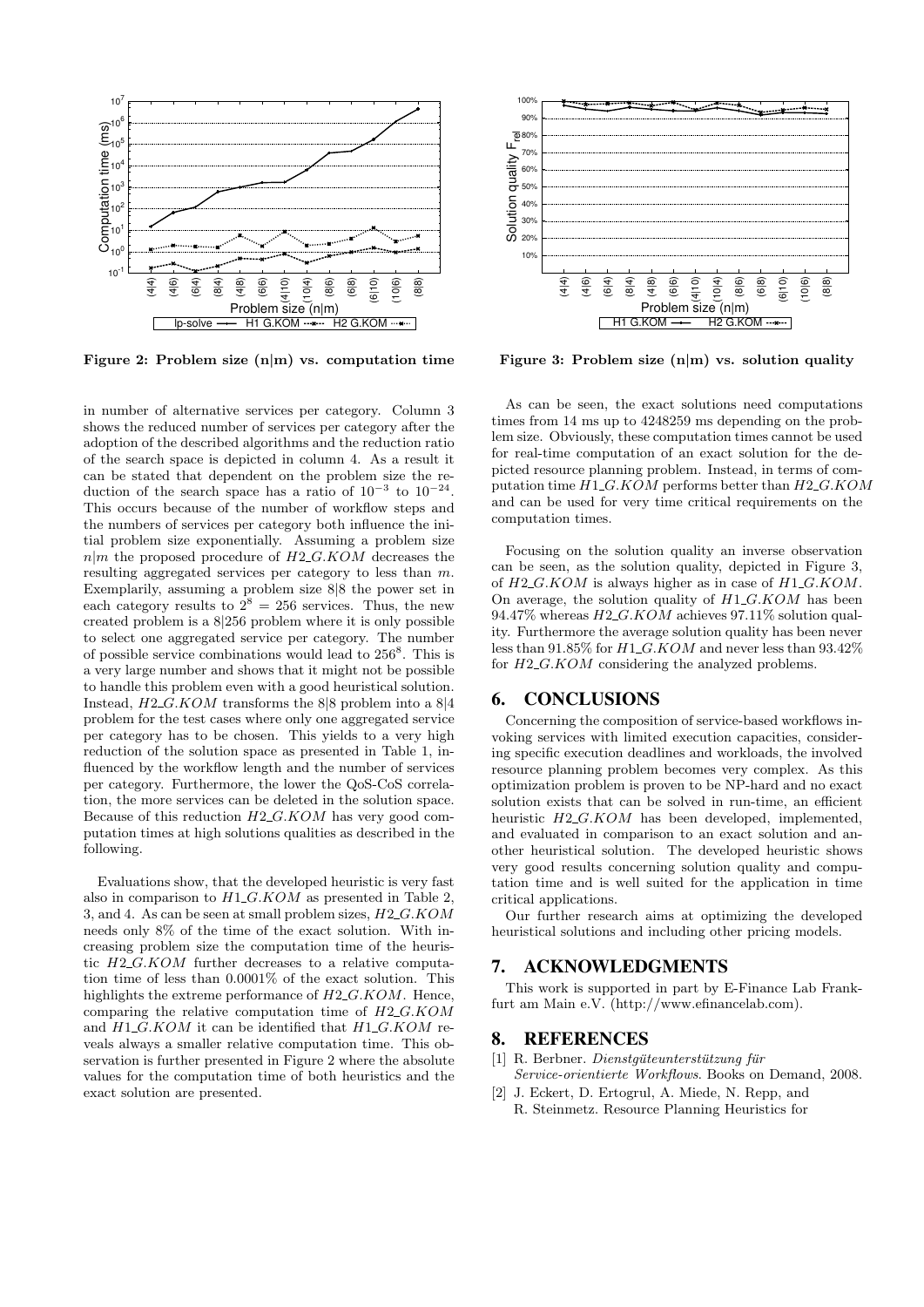

Figure 2: Problem size  $(n|m)$  vs. computation time

in number of alternative services per category. Column 3 shows the reduced number of services per category after the adoption of the described algorithms and the reduction ratio of the search space is depicted in column 4. As a result it can be stated that dependent on the problem size the reduction of the search space has a ratio of  $10^{-3}$  to  $10^{-24}$ . This occurs because of the number of workflow steps and the numbers of services per category both influence the initial problem size exponentially. Assuming a problem size  $n|m$  the proposed procedure of  $H2_GKOM$  decreases the resulting aggregated services per category to less than m. Exemplarily, assuming a problem size 8|8 the power set in each category results to  $2^8 = 256$  services. Thus, the new created problem is a 8|256 problem where it is only possible to select one aggregated service per category. The number of possible service combinations would lead to  $256^8$ . This is a very large number and shows that it might not be possible to handle this problem even with a good heuristical solution. Instead,  $H2\_G.KOM$  transforms the 8|8 problem into a 8|4 problem for the test cases where only one aggregated service per category has to be chosen. This yields to a very high reduction of the solution space as presented in Table 1, influenced by the workflow length and the number of services per category. Furthermore, the lower the QoS-CoS correlation, the more services can be deleted in the solution space. Because of this reduction  $H2\_G.KOM$  has very good computation times at high solutions qualities as described in the following.

Evaluations show, that the developed heuristic is very fast also in comparison to  $H1\_G.KOM$  as presented in Table 2, 3, and 4. As can be seen at small problem sizes, H2 G.KOM needs only 8% of the time of the exact solution. With increasing problem size the computation time of the heuristic  $H2_G.KOM$  further decreases to a relative computation time of less than 0.0001% of the exact solution. This highlights the extreme performance of  $H2\_G.KOM$ . Hence, comparing the relative computation time of  $H2_G.KOM$ and  $H1_G.KOM$  it can be identified that  $H1_G.KOM$  reveals always a smaller relative computation time. This observation is further presented in Figure 2 where the absolute values for the computation time of both heuristics and the exact solution are presented.



Figure 3: Problem size  $(n|m)$  vs. solution quality

As can be seen, the exact solutions need computations times from 14 ms up to 4248259 ms depending on the problem size. Obviously, these computation times cannot be used for real-time computation of an exact solution for the depicted resource planning problem. Instead, in terms of computation time  $H1\_G.KOM$  performs better than  $H2\_G.KOM$ and can be used for very time critical requirements on the computation times.

Focusing on the solution quality an inverse observation can be seen, as the solution quality, depicted in Figure 3, of  $H2_G.KOM$  is always higher as in case of  $H1_G.KOM$ . On average, the solution quality of  $H1_G.KOM$  has been 94.47% whereas  $H2_G.KOM$  achieves 97.11% solution quality. Furthermore the average solution quality has been never less than 91.85% for  $H1_G.KOM$  and never less than 93.42% for  $H2\_G.KOM$  considering the analyzed problems.

#### 6. CONCLUSIONS

Concerning the composition of service-based workflows invoking services with limited execution capacities, considering specific execution deadlines and workloads, the involved resource planning problem becomes very complex. As this optimization problem is proven to be NP-hard and no exact solution exists that can be solved in run-time, an efficient heuristic  $H2\_G.KOM$  has been developed, implemented, and evaluated in comparison to an exact solution and another heuristical solution. The developed heuristic shows very good results concerning solution quality and computation time and is well suited for the application in time critical applications.

Our further research aims at optimizing the developed heuristical solutions and including other pricing models.

# 7. ACKNOWLEDGMENTS

This work is supported in part by E-Finance Lab Frankfurt am Main e.V. (http://www.efinancelab.com).

#### 8. REFERENCES

- $[1]$  R. Berbner. *Dienstquteunterstützung für* Service-orientierte Workflows. Books on Demand, 2008.
- [2] J. Eckert, D. Ertogrul, A. Miede, N. Repp, and R. Steinmetz. Resource Planning Heuristics for